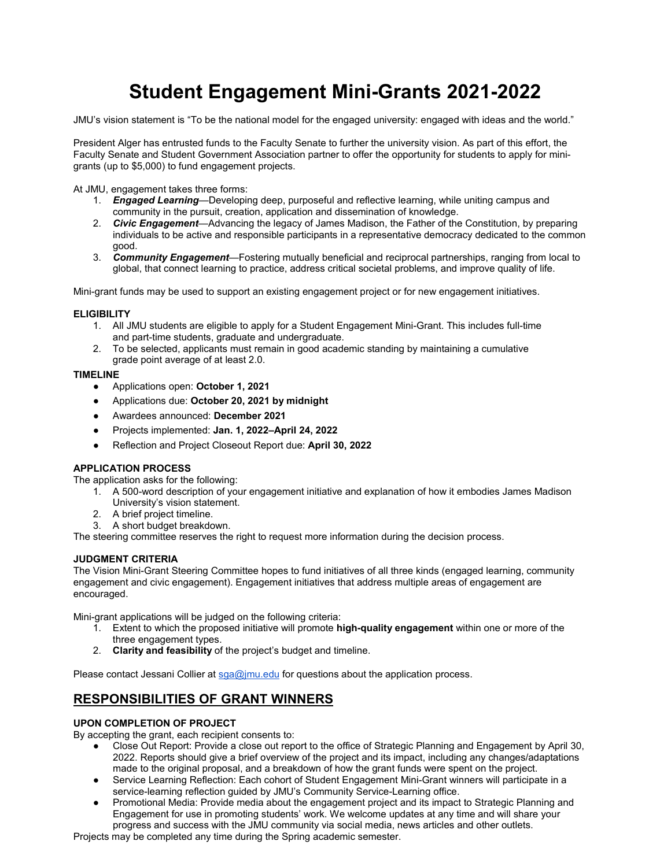# **Student Engagement Mini-Grants 2021-2022**

JMU's vision statement is "To be the national model for the engaged university: engaged with ideas and the world."

President Alger has entrusted funds to the Faculty Senate to further the university vision. As part of this effort, the Faculty Senate and Student Government Association partner to offer the opportunity for students to apply for minigrants (up to \$5,000) to fund engagement projects.

At JMU, engagement takes three forms:

- 1. *Engaged Learning*—Developing deep, purposeful and reflective learning, while uniting campus and community in the pursuit, creation, application and dissemination of knowledge.
- 2. *Civic Engagement*—Advancing the legacy of James Madison, the Father of the Constitution, by preparing individuals to be active and responsible participants in a representative democracy dedicated to the common good.
- 3. *Community Engagement*—Fostering mutually beneficial and reciprocal partnerships, ranging from local to global, that connect learning to practice, address critical societal problems, and improve quality of life.

Mini-grant funds may be used to support an existing engagement project or for new engagement initiatives.

### **ELIGIBILITY**

- 1. All JMU students are eligible to apply for a Student Engagement Mini-Grant. This includes full-time and part-time students, graduate and undergraduate.
- 2. To be selected, applicants must remain in good academic standing by maintaining a cumulative grade point average of at least 2.0.

### **TIMELINE**

- Applications open: **October 1, 2021**
- Applications due: **October 20, 2021 by midnight**
- Awardees announced: **December 2021**
- Projects implemented: **Jan. 1, 2022–April 24, 2022**
- Reflection and Project Closeout Report due: **April 30, 2022**

### **APPLICATION PROCESS**

The application asks for the following:

- 1. A 500-word description of your engagement initiative and explanation of how it embodies James Madison University's vision statement.
- 2. A brief project timeline.
- 3. A short budget breakdown.

The steering committee reserves the right to request more information during the decision process.

### **JUDGMENT CRITERIA**

The Vision Mini-Grant Steering Committee hopes to fund initiatives of all three kinds (engaged learning, community engagement and civic engagement). Engagement initiatives that address multiple areas of engagement are encouraged.

Mini-grant applications will be judged on the following criteria:

- 1. Extent to which the proposed initiative will promote **high-quality engagement** within one or more of the three engagement types.
- 2. **Clarity and feasibility** of the project's budget and timeline.

Please contact Jessani Collier at so a olimu.edu for questions about the application process.

## **RESPONSIBILITIES OF GRANT WINNERS**

### **UPON COMPLETION OF PROJECT**

By accepting the grant, each recipient consents to:

- Close Out Report: Provide a close out report to the office of Strategic Planning and Engagement by April 30, 2022. Reports should give a brief overview of the project and its impact, including any changes/adaptations made to the original proposal, and a breakdown of how the grant funds were spent on the project.
- Service Learning Reflection: Each cohort of Student Engagement Mini-Grant winners will participate in a service-learning reflection guided by JMU's Community Service-Learning office.
- Promotional Media: Provide media about the engagement project and its impact to Strategic Planning and Engagement for use in promoting students' work. We welcome updates at any time and will share your progress and success with the JMU community via social media, news articles and other outlets.

Projects may be completed any time during the Spring academic semester.